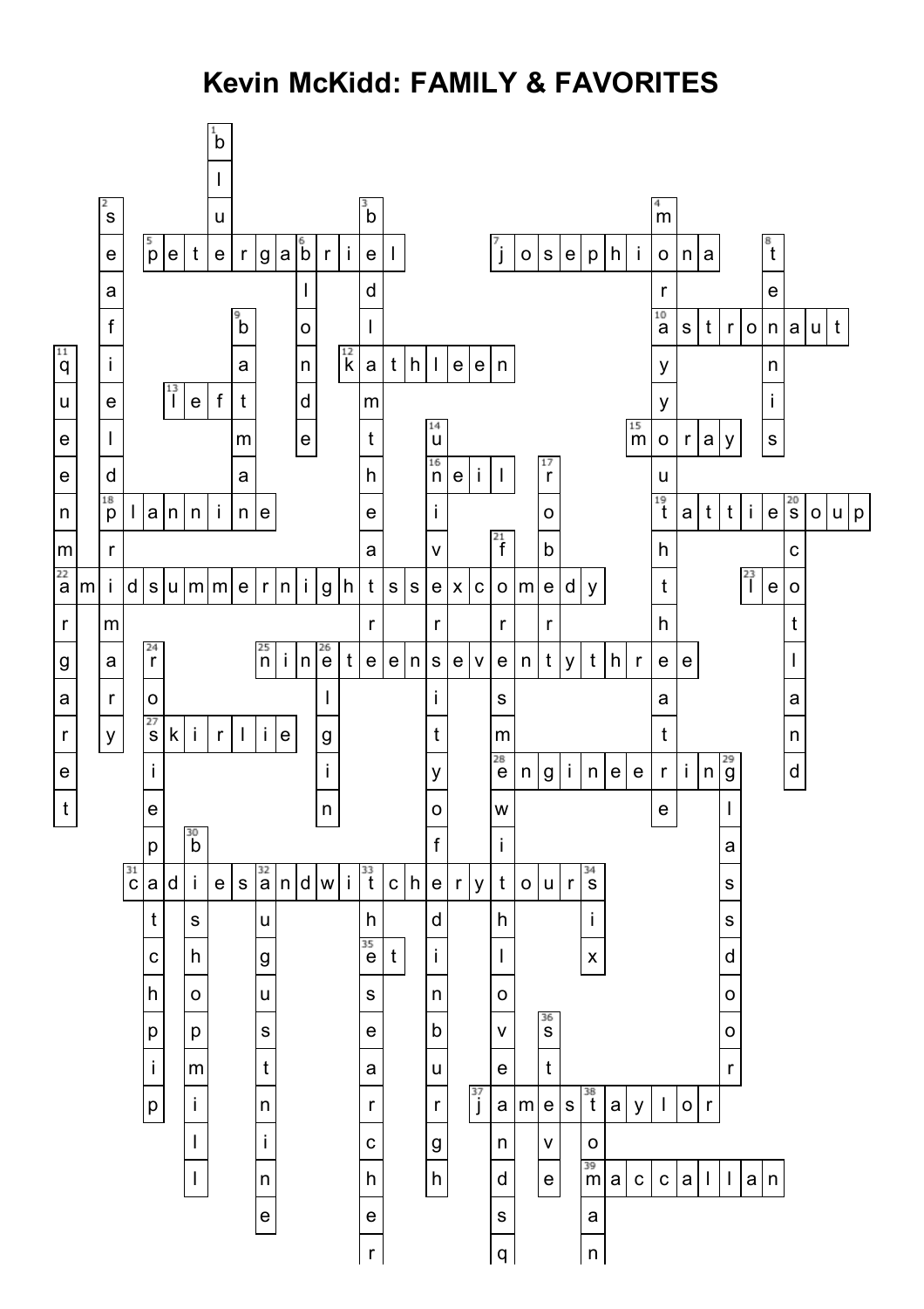## **Kevin McKidd: FAMILY & FAVORITES**